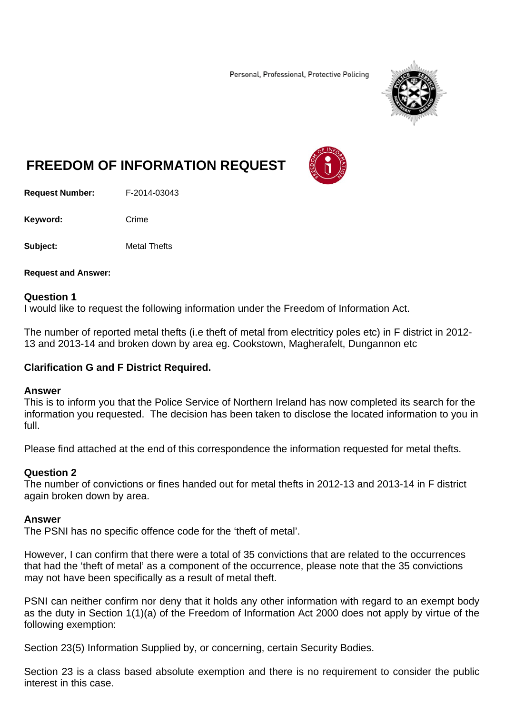Personal, Professional, Protective Policing



# **FREEDOM OF INFORMATION REQUEST**

**Request Number:** F-2014-03043

Keyword: Crime

**Subject:** Metal Thefts

**Request and Answer:** 

#### **Question 1**

I would like to request the following information under the Freedom of Information Act.

The number of reported metal thefts (i.e theft of metal from electriticy poles etc) in F district in 2012- 13 and 2013-14 and broken down by area eg. Cookstown, Magherafelt, Dungannon etc

# **Clarification G and F District Required.**

#### **Answer**

This is to inform you that the Police Service of Northern Ireland has now completed its search for the information you requested. The decision has been taken to disclose the located information to you in full.

Please find attached at the end of this correspondence the information requested for metal thefts.

# **Question 2**

The number of convictions or fines handed out for metal thefts in 2012-13 and 2013-14 in F district again broken down by area.

### **Answer**

The PSNI has no specific offence code for the 'theft of metal'.

However, I can confirm that there were a total of 35 convictions that are related to the occurrences that had the 'theft of metal' as a component of the occurrence, please note that the 35 convictions may not have been specifically as a result of metal theft.

PSNI can neither confirm nor deny that it holds any other information with regard to an exempt body as the duty in Section 1(1)(a) of the Freedom of Information Act 2000 does not apply by virtue of the following exemption:

Section 23(5) Information Supplied by, or concerning, certain Security Bodies.

Section 23 is a class based absolute exemption and there is no requirement to consider the public interest in this case.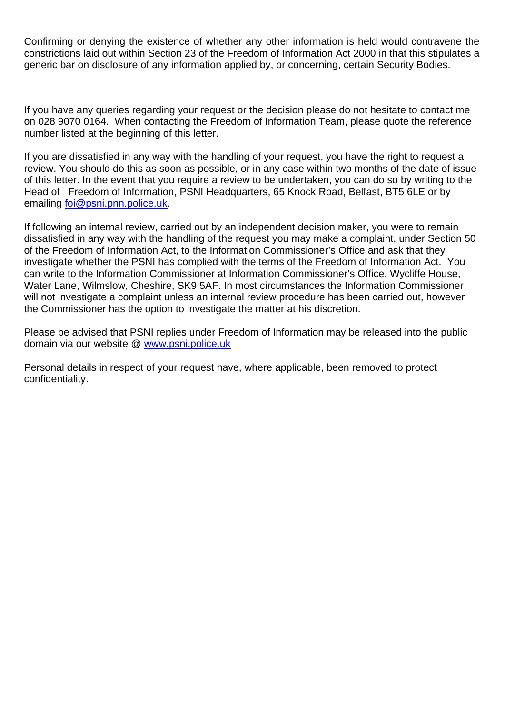Confirming or denying the existence of whether any other information is held would contravene the constrictions laid out within Section 23 of the Freedom of Information Act 2000 in that this stipulates a generic bar on disclosure of any information applied by, or concerning, certain Security Bodies.

If you have any queries regarding your request or the decision please do not hesitate to contact me on 028 9070 0164. When contacting the Freedom of Information Team, please quote the reference number listed at the beginning of this letter.

If you are dissatisfied in any way with the handling of your request, you have the right to request a review. You should do this as soon as possible, or in any case within two months of the date of issue of this letter. In the event that you require a review to be undertaken, you can do so by writing to the Head of Freedom of Information, PSNI Headquarters, 65 Knock Road, Belfast, BT5 6LE or by emailing foi@psni.pnn.police.uk.

If following an internal review, carried out by an independent decision maker, you were to remain dissatisfied in any way with the handling of the request you may make a complaint, under Section 50 of the Freedom of Information Act, to the Information Commissioner's Office and ask that they investigate whether the PSNI has complied with the terms of the Freedom of Information Act. You can write to the Information Commissioner at Information Commissioner's Office, Wycliffe House, Water Lane, Wilmslow, Cheshire, SK9 5AF. In most circumstances the Information Commissioner will not investigate a complaint unless an internal review procedure has been carried out, however the Commissioner has the option to investigate the matter at his discretion.

Please be advised that PSNI replies under Freedom of Information may be released into the public domain via our website @ www.psni.police.uk

Personal details in respect of your request have, where applicable, been removed to protect confidentiality.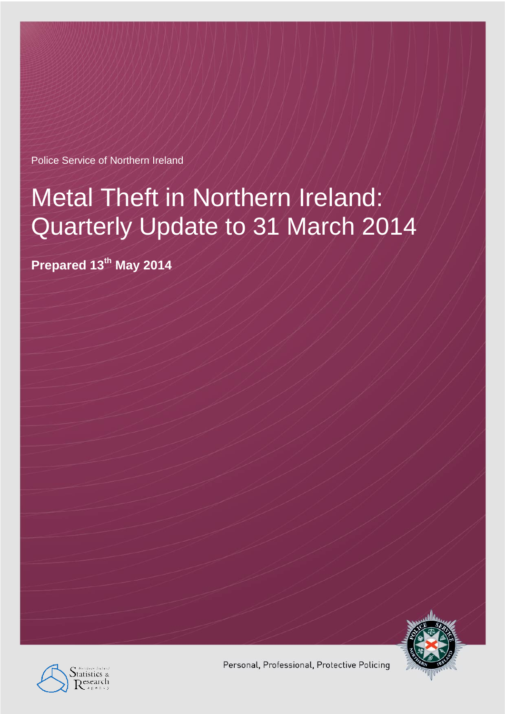Police Service of Northern Ireland

# Metal Theft in Northern Ireland: Quarterly Update to 31 March 2014

**Prepared 13th May 2014**





Personal, Professional, Protective Policing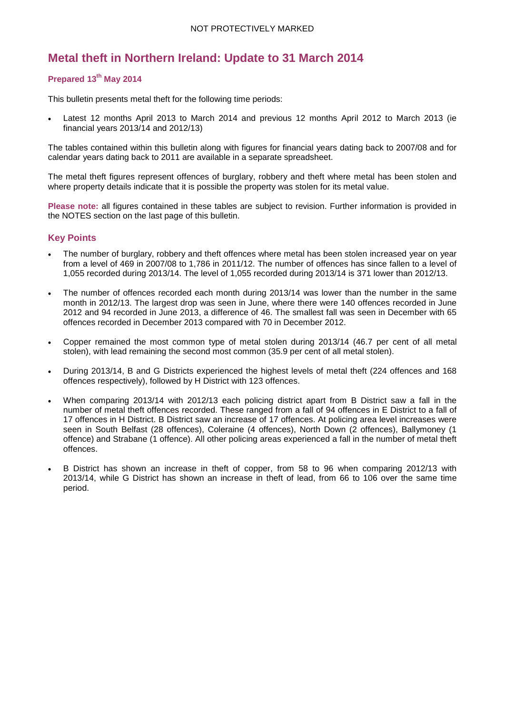# **Metal theft in Northern Ireland: Update to 31 March 2014**

#### **Prepared 13th May 2014**

This bulletin presents metal theft for the following time periods:

• Latest 12 months April 2013 to March 2014 and previous 12 months April 2012 to March 2013 (ie financial years 2013/14 and 2012/13)

The tables contained within this bulletin along with figures for financial years dating back to 2007/08 and for calendar years dating back to 2011 are available in a separate spreadsheet.

The metal theft figures represent offences of burglary, robbery and theft where metal has been stolen and where property details indicate that it is possible the property was stolen for its metal value.

**Please note:** all figures contained in these tables are subject to revision. Further information is provided in the NOTES section on the last page of this bulletin.

#### **Key Points**

- The number of burglary, robbery and theft offences where metal has been stolen increased year on year from a level of 469 in 2007/08 to 1,786 in 2011/12. The number of offences has since fallen to a level of 1,055 recorded during 2013/14. The level of 1,055 recorded during 2013/14 is 371 lower than 2012/13.
- The number of offences recorded each month during 2013/14 was lower than the number in the same month in 2012/13. The largest drop was seen in June, where there were 140 offences recorded in June 2012 and 94 recorded in June 2013, a difference of 46. The smallest fall was seen in December with 65 offences recorded in December 2013 compared with 70 in December 2012.
- Copper remained the most common type of metal stolen during 2013/14 (46.7 per cent of all metal stolen), with lead remaining the second most common (35.9 per cent of all metal stolen).
- During 2013/14, B and G Districts experienced the highest levels of metal theft (224 offences and 168 offences respectively), followed by H District with 123 offences.
- When comparing 2013/14 with 2012/13 each policing district apart from B District saw a fall in the number of metal theft offences recorded. These ranged from a fall of 94 offences in E District to a fall of 17 offences in H District. B District saw an increase of 17 offences. At policing area level increases were seen in South Belfast (28 offences), Coleraine (4 offences), North Down (2 offences), Ballymoney (1 offence) and Strabane (1 offence). All other policing areas experienced a fall in the number of metal theft offences.
- B District has shown an increase in theft of copper, from 58 to 96 when comparing 2012/13 with 2013/14, while G District has shown an increase in theft of lead, from 66 to 106 over the same time period.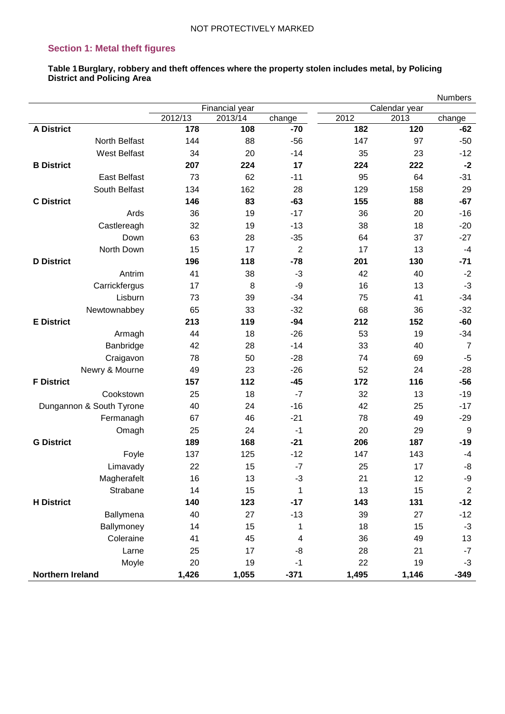# **Section 1: Metal theft figures**

**Table 1Burglary, robbery and theft offences where the property stolen includes metal, by Policing District and Policing Area**

|                          |         |                |                |       |               | <b>Numbers</b>   |
|--------------------------|---------|----------------|----------------|-------|---------------|------------------|
|                          |         | Financial year |                |       | Calendar year |                  |
|                          | 2012/13 | 2013/14        | change         | 2012  | 2013          | change           |
| <b>A District</b>        | 178     | 108            | $-70$          | 182   | 120           | $-62$            |
| North Belfast            | 144     | 88             | $-56$          | 147   | 97            | $-50$            |
| <b>West Belfast</b>      | 34      | 20             | $-14$          | 35    | 23            | $-12$            |
| <b>B</b> District        | 207     | 224            | 17             | 224   | 222           | $-2$             |
| <b>East Belfast</b>      | 73      | 62             | $-11$          | 95    | 64            | $-31$            |
| South Belfast            | 134     | 162            | 28             | 129   | 158           | 29               |
| <b>C</b> District        | 146     | 83             | $-63$          | 155   | 88            | $-67$            |
| Ards                     | 36      | 19             | $-17$          | 36    | 20            | $-16$            |
| Castlereagh              | 32      | 19             | $-13$          | 38    | 18            | $-20$            |
| Down                     | 63      | 28             | $-35$          | 64    | 37            | $-27$            |
| North Down               | 15      | 17             | $\overline{2}$ | 17    | 13            | $-4$             |
| <b>D</b> District        | 196     | 118            | $-78$          | 201   | 130           | $-71$            |
| Antrim                   | 41      | 38             | $-3$           | 42    | 40            | $-2$             |
| Carrickfergus            | 17      | 8              | -9             | 16    | 13            | $-3$             |
| Lisburn                  | 73      | 39             | $-34$          | 75    | 41            | $-34$            |
| Newtownabbey             | 65      | 33             | $-32$          | 68    | 36            | $-32$            |
| <b>E</b> District        | 213     | 119            | $-94$          | 212   | 152           | $-60$            |
| Armagh                   | 44      | 18             | $-26$          | 53    | 19            | $-34$            |
| Banbridge                | 42      | 28             | $-14$          | 33    | 40            | $\overline{7}$   |
| Craigavon                | 78      | 50             | $-28$          | 74    | 69            | $-5$             |
| Newry & Mourne           | 49      | 23             | $-26$          | 52    | 24            | $-28$            |
| <b>F</b> District        | 157     | 112            | $-45$          | 172   | 116           | $-56$            |
| Cookstown                | 25      | 18             | $-7$           | 32    | 13            | $-19$            |
| Dungannon & South Tyrone | 40      | 24             | $-16$          | 42    | 25            | $-17$            |
| Fermanagh                | 67      | 46             | $-21$          | 78    | 49            | $-29$            |
| Omagh                    | 25      | 24             | $-1$           | 20    | 29            | 9                |
| <b>G District</b>        | 189     | 168            | $-21$          | 206   | 187           | $-19$            |
| Foyle                    | 137     | 125            | $-12$          | 147   | 143           | $-4$             |
| Limavady                 | 22      | 15             | $-7$           | 25    | 17            | -8               |
| Magherafelt              | 16      | 13             | $-3$           | 21    | 12            | -9               |
| Strabane                 | 14      | 15             | 1              | 13    | 15            | $\boldsymbol{2}$ |
| <b>H</b> District        | 140     | 123            | $-17$          | 143   | 131           | $-12$            |
| Ballymena                | 40      | 27             | $-13$          | 39    | 27            | $-12$            |
| Ballymoney               | 14      | 15             | 1              | 18    | 15            | $-3$             |
| Coleraine                | 41      | 45             | 4              | 36    | 49            | 13               |
| Larne                    | 25      | 17             | -8             | 28    | 21            | $-7$             |
| Moyle                    | 20      | 19             | $-1$           | 22    | 19            | $-3$             |
| Northern Ireland         | 1,426   | 1,055          | $-371$         | 1,495 | 1,146         | $-349$           |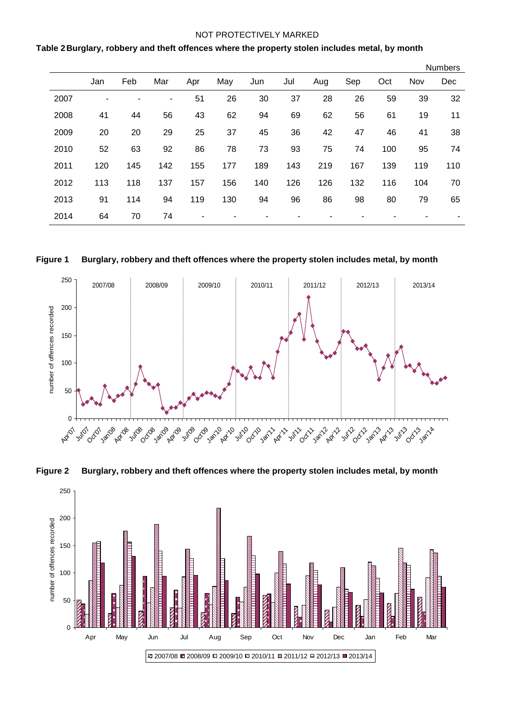#### **Table 2Burglary, robbery and theft offences where the property stolen includes metal, by month**

|      |     |     |     |     |     |     |     |     |     |     |     | <b>Numbers</b> |
|------|-----|-----|-----|-----|-----|-----|-----|-----|-----|-----|-----|----------------|
|      | Jan | Feb | Mar | Apr | May | Jun | Jul | Aug | Sep | Oct | Nov | Dec            |
| 2007 |     |     | ۰   | 51  | 26  | 30  | 37  | 28  | 26  | 59  | 39  | 32             |
| 2008 | 41  | 44  | 56  | 43  | 62  | 94  | 69  | 62  | 56  | 61  | 19  | 11             |
| 2009 | 20  | 20  | 29  | 25  | 37  | 45  | 36  | 42  | 47  | 46  | 41  | 38             |
| 2010 | 52  | 63  | 92  | 86  | 78  | 73  | 93  | 75  | 74  | 100 | 95  | 74             |
| 2011 | 120 | 145 | 142 | 155 | 177 | 189 | 143 | 219 | 167 | 139 | 119 | 110            |
| 2012 | 113 | 118 | 137 | 157 | 156 | 140 | 126 | 126 | 132 | 116 | 104 | 70             |
| 2013 | 91  | 114 | 94  | 119 | 130 | 94  | 96  | 86  | 98  | 80  | 79  | 65             |
| 2014 | 64  | 70  | 74  |     |     |     |     |     |     |     |     | ٠              |







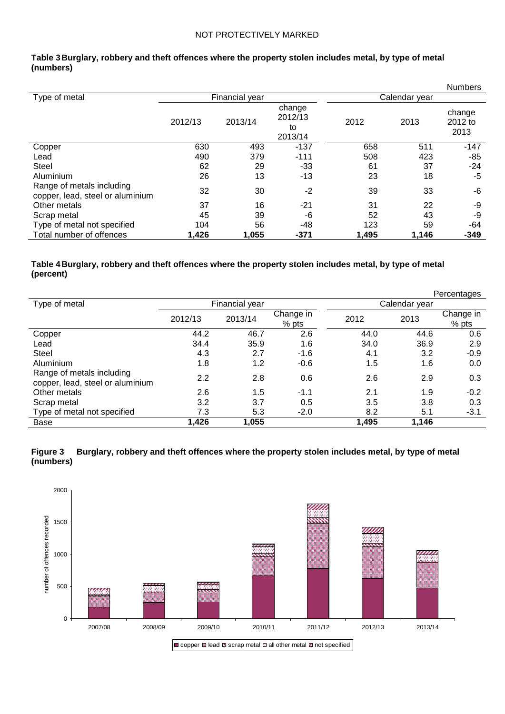|                                                               |         |                |                                    |       |               | <b>Numbers</b>            |
|---------------------------------------------------------------|---------|----------------|------------------------------------|-------|---------------|---------------------------|
| Type of metal                                                 |         | Financial year |                                    |       | Calendar year |                           |
|                                                               | 2012/13 | 2013/14        | change<br>2012/13<br>to<br>2013/14 | 2012  | 2013          | change<br>2012 to<br>2013 |
| Copper                                                        | 630     | 493            | $-137$                             | 658   | 511           | $-147$                    |
| Lead                                                          | 490     | 379            | $-111$                             | 508   | 423           | $-85$                     |
| <b>Steel</b>                                                  | 62      | 29             | -33                                | 61    | 37            | -24                       |
| Aluminium                                                     | 26      | 13             | $-13$                              | 23    | 18            | $-5$                      |
| Range of metals including<br>copper, lead, steel or aluminium | 32      | 30             | $-2$                               | 39    | 33            | -6                        |
| Other metals                                                  | 37      | 16             | -21                                | 31    | 22            | -9                        |
| Scrap metal                                                   | 45      | 39             | -6                                 | 52    | 43            | -9                        |
| Type of metal not specified                                   | 104     | 56             | -48                                | 123   | 59            | -64                       |
| Total number of offences                                      | 1,426   | 1,055          | $-371$                             | 1,495 | 1,146         | $-349$                    |

#### **Table 3Burglary, robbery and theft offences where the property stolen includes metal, by type of metal (numbers)**

#### **Table 4Burglary, robbery and theft offences where the property stolen includes metal, by type of metal (percent)**

|                                                               |         |                |                    |       |               | Percentages          |  |  |
|---------------------------------------------------------------|---------|----------------|--------------------|-------|---------------|----------------------|--|--|
| Type of metal                                                 |         | Financial year |                    |       | Calendar year |                      |  |  |
|                                                               | 2012/13 | 2013/14        | Change in<br>% pts | 2012  | 2013          | Change in<br>$%$ pts |  |  |
|                                                               |         |                |                    |       |               |                      |  |  |
| Copper                                                        | 44.2    | 46.7           | 2.6                | 44.0  | 44.6          | 0.6                  |  |  |
| Lead                                                          | 34.4    | 35.9           | 1.6                | 34.0  | 36.9          | 2.9                  |  |  |
| <b>Steel</b>                                                  | 4.3     | 2.7            | $-1.6$             | 4.1   | 3.2           | $-0.9$               |  |  |
| Aluminium                                                     | 1.8     | 1.2            | $-0.6$             | 1.5   | 1.6           | 0.0                  |  |  |
| Range of metals including<br>copper, lead, steel or aluminium | 2.2     | 2.8            | 0.6                | 2.6   | 2.9           | 0.3                  |  |  |
| Other metals                                                  | 2.6     | 1.5            | $-1.1$             | 2.1   | 1.9           | $-0.2$               |  |  |
| Scrap metal                                                   | 3.2     | 3.7            | 0.5                | 3.5   | 3.8           | 0.3                  |  |  |
| Type of metal not specified                                   | 7.3     | 5.3            | $-2.0$             | 8.2   | 5.1           | $-3.1$               |  |  |
| Base                                                          | 1,426   | 1,055          |                    | 1,495 | 1,146         |                      |  |  |



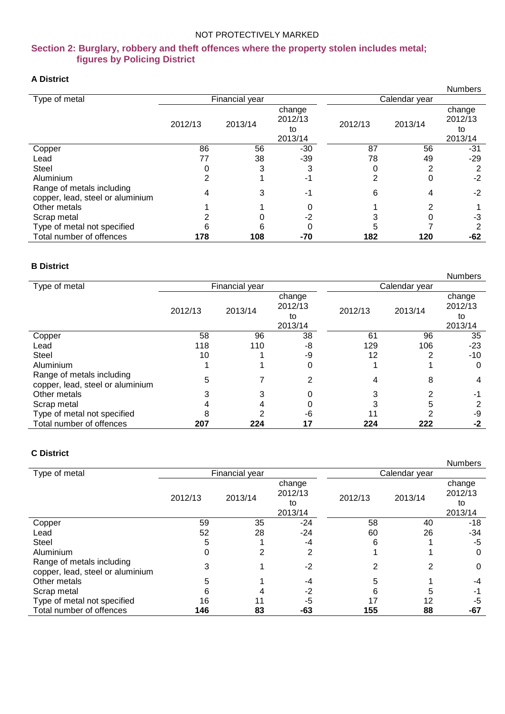#### **Section 2: Burglary, robbery and theft offences where the property stolen includes metal; figures by Policing District**

#### **A District**

| л ышпо                                                        |         |                |                                    |               |         | <b>Numbers</b>                     |
|---------------------------------------------------------------|---------|----------------|------------------------------------|---------------|---------|------------------------------------|
| Type of metal                                                 |         | Financial year |                                    | Calendar year |         |                                    |
|                                                               | 2012/13 | 2013/14        | change<br>2012/13<br>to<br>2013/14 | 2012/13       | 2013/14 | change<br>2012/13<br>to<br>2013/14 |
| Copper                                                        | 86      | 56             | $-30$                              | 87            | 56      | -31                                |
| Lead                                                          | 77      | 38             | $-39$                              | 78            | 49      | $-29$                              |
| <b>Steel</b>                                                  |         | 3              | 3                                  |               | 2       | 2                                  |
| Aluminium                                                     |         |                | -1                                 | 2             | 0       | $-2$                               |
| Range of metals including<br>copper, lead, steel or aluminium |         | 3              | -1                                 | 6             |         | $-2$                               |
| Other metals                                                  |         |                | 0                                  |               |         |                                    |
| Scrap metal                                                   |         |                | $-2$                               |               |         | -3                                 |
| Type of metal not specified                                   |         | 6              |                                    |               |         | 2                                  |
| Total number of offences                                      | 178     | 108            | -70                                | 182           | 120     | -62                                |

#### **B District**

|                                                               |         |                |                   |         |               | <b>Numbers</b>    |
|---------------------------------------------------------------|---------|----------------|-------------------|---------|---------------|-------------------|
| Type of metal                                                 |         | Financial year |                   |         | Calendar year |                   |
|                                                               | 2012/13 | 2013/14        | change<br>2012/13 | 2012/13 | 2013/14       | change<br>2012/13 |
|                                                               |         |                | to<br>2013/14     |         |               | to<br>2013/14     |
| Copper                                                        | 58      | 96             | 38                | 61      | 96            | 35                |
| Lead                                                          | 118     | 110            | -8                | 129     | 106           | $-23$             |
| <b>Steel</b>                                                  | 10      |                | -9                | 12      |               | $-10$             |
| Aluminium                                                     |         |                | 0                 |         |               | 0                 |
| Range of metals including<br>copper, lead, steel or aluminium | 5       |                | 2                 | 4       | 8             | 4                 |
| Other metals                                                  |         |                |                   |         |               | -1                |
| Scrap metal                                                   |         |                |                   |         |               | っ                 |
| Type of metal not specified                                   |         |                | -6                |         |               | -9                |
| Total number of offences                                      | 207     | 224            | 17                | 224     | 222           | -2                |

#### **C District**

|                                                               |         |                |         |         |               | <b>Numbers</b> |  |
|---------------------------------------------------------------|---------|----------------|---------|---------|---------------|----------------|--|
| Type of metal                                                 |         | Financial year |         |         | Calendar year |                |  |
|                                                               |         |                | change  |         |               | change         |  |
|                                                               | 2012/13 | 2013/14        | 2012/13 | 2012/13 | 2013/14       | 2012/13        |  |
|                                                               |         |                | to      |         |               | to             |  |
|                                                               |         |                | 2013/14 |         |               | 2013/14        |  |
| Copper                                                        | 59      | 35             | $-24$   | 58      | 40            | -18            |  |
| Lead                                                          | 52      | 28             | -24     | 60      | 26            | -34            |  |
| Steel                                                         | 5       |                | $-4$    | 6       |               | -5             |  |
| Aluminium                                                     |         | 2              | 2       |         |               | 0              |  |
| Range of metals including<br>copper, lead, steel or aluminium | 3       |                | $-2$    | 2       | 2             | 0              |  |
| Other metals                                                  | 5       |                | -4      | 5       |               | -4             |  |
| Scrap metal                                                   | 6       |                | $-2$    | 6       |               | -1             |  |
| Type of metal not specified                                   | 16      | 11             | -5      | 17      | 12            | -5             |  |
| Total number of offences                                      | 146     | 83             | -63     | 155     | 88            | -67            |  |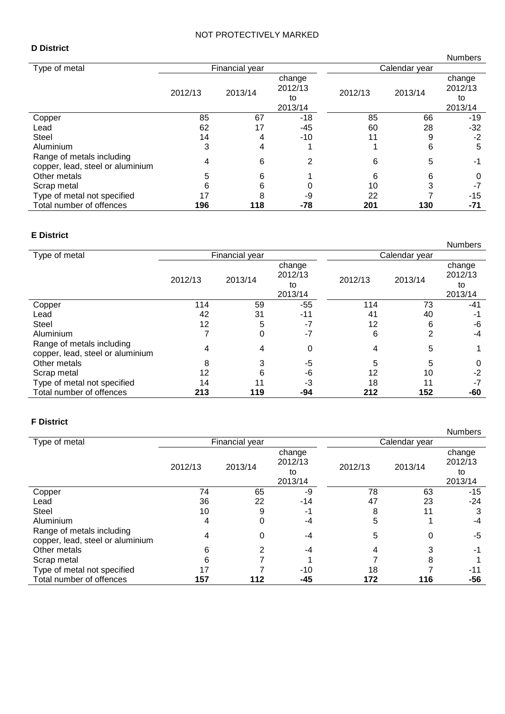#### **D District**

|                                                               |         |                |                                    |         |               | <b>Numbers</b>                     |
|---------------------------------------------------------------|---------|----------------|------------------------------------|---------|---------------|------------------------------------|
| Type of metal                                                 |         | Financial year |                                    |         | Calendar year |                                    |
|                                                               | 2012/13 | 2013/14        | change<br>2012/13<br>to<br>2013/14 | 2012/13 | 2013/14       | change<br>2012/13<br>to<br>2013/14 |
| Copper                                                        | 85      | 67             | $-18$                              | 85      | 66            | -19                                |
| Lead                                                          | 62      | 17             | $-45$                              | 60      | 28            | $-32$                              |
| <b>Steel</b>                                                  | 14      | 4              | $-10$                              | 11      | 9             | $-2$                               |
| Aluminium                                                     | 3       | 4              |                                    |         | 6             | 5                                  |
| Range of metals including<br>copper, lead, steel or aluminium | 4       | 6              | 2                                  | 6       | 5             | -1                                 |
| Other metals                                                  | 5       | 6              |                                    | 6       | 6             | 0                                  |
| Scrap metal                                                   |         | 6              |                                    | 10      |               | -7                                 |
| Type of metal not specified                                   | 17      |                | -9                                 | 22      |               | -15                                |
| Total number of offences                                      | 196     | 118            | -78                                | 201     | 130           | $-71$                              |

#### **E District**

|                                                               |         |                |                   |         |               | <b>Numbers</b>    |
|---------------------------------------------------------------|---------|----------------|-------------------|---------|---------------|-------------------|
| Type of metal                                                 |         | Financial year |                   |         | Calendar year |                   |
|                                                               | 2012/13 | 2013/14        | change<br>2012/13 | 2012/13 | 2013/14       | change<br>2012/13 |
|                                                               |         |                | to<br>2013/14     |         |               | to<br>2013/14     |
| Copper                                                        | 114     | 59             | -55               | 114     | 73            | -41               |
| Lead                                                          | 42      | 31             | $-11$             | 41      | 40            | -1                |
| <b>Steel</b>                                                  | 12      | 5              | -7                | 12      | 6             | -6                |
| Aluminium                                                     |         | 0              | $-7$              | 6       | 2             | -4                |
| Range of metals including<br>copper, lead, steel or aluminium | 4       | 4              | 0                 | 4       | 5             |                   |
| Other metals                                                  | 8       | 3              | -5                | 5       | 5             | 0                 |
| Scrap metal                                                   | 12      | 6              | -6                | 12      | 10            | $-2$              |
| Type of metal not specified                                   | 14      |                | -3                | 18      | 11            | $-7$              |
| Total number of offences                                      | 213     | 119            | -94               | 212     | 152           | -60               |

#### **F District**

|                                                               |         |                |         |         |               | <b>Numbers</b> |
|---------------------------------------------------------------|---------|----------------|---------|---------|---------------|----------------|
| Type of metal                                                 |         | Financial year |         |         | Calendar year |                |
|                                                               |         |                | change  |         |               | change         |
|                                                               | 2012/13 | 2013/14        | 2012/13 | 2012/13 | 2013/14       | 2012/13        |
|                                                               |         |                | to      |         |               | to             |
|                                                               |         |                | 2013/14 |         |               | 2013/14        |
| Copper                                                        | 74      | 65             | -9      | 78      | 63            | -15            |
| Lead                                                          | 36      | 22             | $-14$   | 47      | 23            | -24            |
| <b>Steel</b>                                                  | 10      | 9              | -1      | 8       | 11            | 3              |
| Aluminium                                                     | 4       | 0              | -4      | 5       |               | -4             |
| Range of metals including<br>copper, lead, steel or aluminium |         | 0              | -4      | 5       | 0             | -5             |
| Other metals                                                  | 6       | 2              | -4      |         |               | $-1$           |
| Scrap metal                                                   | 6       |                |         |         | 8             |                |
| Type of metal not specified                                   |         |                | $-10$   | 18      |               | -11            |
| Total number of offences                                      | 157     | 112            | -45     | 172     | 116           | -56            |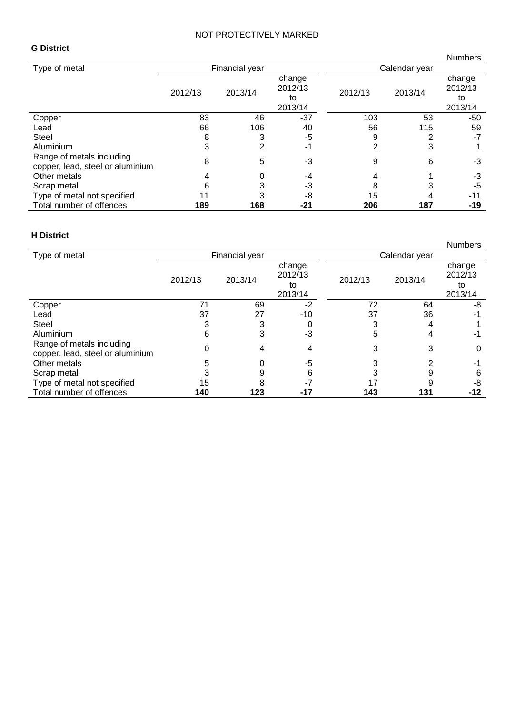#### **G District**

|                                                               |         |                |                   |         |               | <b>Numbers</b>    |
|---------------------------------------------------------------|---------|----------------|-------------------|---------|---------------|-------------------|
| Type of metal                                                 |         | Financial year |                   |         | Calendar year |                   |
|                                                               | 2012/13 | 2013/14        | change<br>2012/13 | 2012/13 | 2013/14       | change<br>2012/13 |
|                                                               |         |                | to                |         |               | to                |
|                                                               |         |                | 2013/14           |         |               | 2013/14           |
| Copper                                                        | 83      | 46             | $-37$             | 103     | 53            | -50               |
| Lead                                                          | 66      | 106            | 40                | 56      | 115           | 59                |
| Steel                                                         | 8       | 3              | -5                | 9       | 2             | $-7$              |
| Aluminium                                                     | 3       | 2              | -1                | 2       | 3             |                   |
| Range of metals including<br>copper, lead, steel or aluminium | 8       | 5              | -3                | 9       | 6             | -3                |
| Other metals                                                  |         |                | -4                |         |               | -3                |
| Scrap metal                                                   | 6       |                | -3                | 8       |               | -5                |
| Type of metal not specified                                   |         |                | -8                | 15      |               | $-11$             |
| Total number of offences                                      | 189     | 168            | -21               | 206     | 187           | -19               |

#### **H District**

|                                                               |         |                       |                   |               |         | <b>Numbers</b>    |  |
|---------------------------------------------------------------|---------|-----------------------|-------------------|---------------|---------|-------------------|--|
| Type of metal                                                 |         | <b>Financial year</b> |                   | Calendar year |         |                   |  |
|                                                               | 2012/13 | 2013/14               | change<br>2012/13 | 2012/13       | 2013/14 | change<br>2012/13 |  |
|                                                               |         |                       | to                |               |         | to                |  |
|                                                               |         |                       | 2013/14           |               |         | 2013/14           |  |
| Copper                                                        | 71      | 69                    | $-2$              | 72            | 64      | -8                |  |
| Lead                                                          | 37      | 27                    | $-10$             | 37            | 36      | -1                |  |
| Steel                                                         | 3       | 3                     |                   | 3             | 4       |                   |  |
| Aluminium                                                     | 6       | 3                     | -3                | 5             | 4       | -1                |  |
| Range of metals including<br>copper, lead, steel or aluminium |         |                       | 4                 | 3             | 3       | 0                 |  |
| Other metals                                                  | 5       |                       | -5                |               |         | -1                |  |
| Scrap metal                                                   |         |                       |                   |               |         | 6                 |  |
| Type of metal not specified                                   | 15      |                       |                   |               |         | -8                |  |
| Total number of offences                                      | 140     | 123                   | -17               | 143           | 131     | -12               |  |